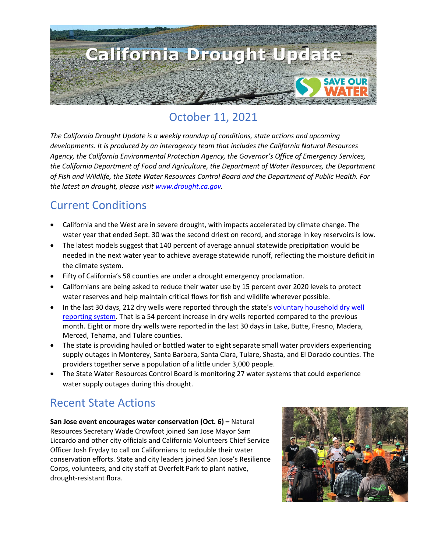

# October 11, 2021

*The California Drought Update is a weekly roundup of conditions, state actions and upcoming developments. It is produced by an interagency team that includes the California Natural Resources Agency, the California Environmental Protection Agency, the Governor's Office of Emergency Services, the California Department of Food and Agriculture, the Department of Water Resources, the Department of Fish and Wildlife, the State Water Resources Control Board and the Department of Public Health. For the latest on drought, please visit [www.drought.ca.gov.](http://www.drought.ca.gov/)* 

#### Current Conditions

- California and the West are in severe drought, with impacts accelerated by climate change. The water year that ended Sept. 30 was the second driest on record, and storage in key reservoirs is low.
- The latest models suggest that 140 percent of average annual statewide precipitation would be needed in the next water year to achieve average statewide runoff, reflecting the moisture deficit in the climate system.
- Fifty of California's 58 counties are under a drought emergency proclamation.
- Californians are being asked to reduce their water use by 15 percent over 2020 levels to protect water reserves and help maintain critical flows for fish and wildlife wherever possible.
- In the last 30 days, 212 dry wells were reported through the state's voluntary household dry well [reporting system.](https://mydrywell.water.ca.gov/report/) That is a 54 percent increase in dry wells reported compared to the previous month. Eight or more dry wells were reported in the last 30 days in Lake, Butte, Fresno, Madera, Merced, Tehama, and Tulare counties.
- The state is providing hauled or bottled water to eight separate small water providers experiencing supply outages in Monterey, Santa Barbara, Santa Clara, Tulare, Shasta, and El Dorado counties. The providers together serve a population of a little under 3,000 people.
- The State Water Resources Control Board is monitoring 27 water systems that could experience water supply outages during this drought.

#### Recent State Actions

**San Jose event encourages water conservation (Oct. 6) –** Natural Resources Secretary Wade Crowfoot joined San Jose Mayor Sam Liccardo and other city officials and California Volunteers Chief Service Officer Josh Fryday to call on Californians to redouble their water conservation efforts. State and city leaders joined San Jose's Resilience Corps, volunteers, and city staff at Overfelt Park to plant native, drought-resistant flora.

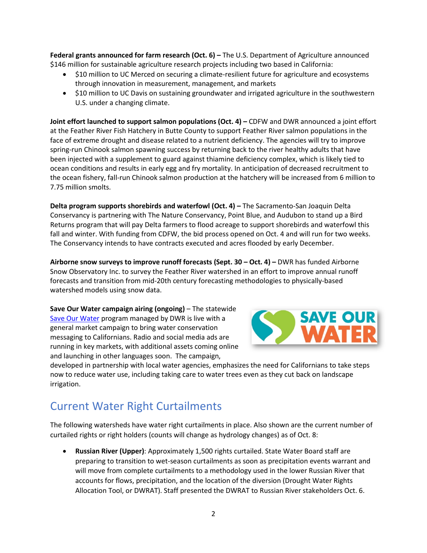**Federal grants announced for farm research (Oct. 6) –** The U.S. Department of Agriculture announced \$146 million for sustainable agriculture research projects including two based in California:

- \$10 million to UC Merced on securing a climate-resilient future for agriculture and ecosystems through innovation in measurement, management, and markets
- \$10 million to UC Davis on sustaining groundwater and irrigated agriculture in the southwestern U.S. under a changing climate.

**Joint effort launched to support salmon populations (Oct. 4) –** CDFW and DWR announced a joint effort at the Feather River Fish Hatchery in Butte County to support Feather River salmon populations in the face of extreme drought and disease related to a nutrient deficiency. The agencies will try to improve spring-run Chinook salmon spawning success by returning back to the river healthy adults that have been injected with a supplement to guard against thiamine deficiency complex, which is likely tied to ocean conditions and results in early egg and fry mortality. In anticipation of decreased recruitment to the ocean fishery, fall-run Chinook salmon production at the hatchery will be increased from 6 million to 7.75 million smolts.

**Delta program supports shorebirds and waterfowl (Oct. 4) –** The Sacramento-San Joaquin Delta Conservancy is partnering with The Nature Conservancy, Point Blue, and Audubon to stand up a Bird Returns program that will pay Delta farmers to flood acreage to support shorebirds and waterfowl this fall and winter. With funding from CDFW, the bid process opened on Oct. 4 and will run for two weeks. The Conservancy intends to have contracts executed and acres flooded by early December.

**Airborne snow surveys to improve runoff forecasts (Sept. 30 – Oct. 4) –** DWR has funded Airborne Snow Observatory Inc. to survey the Feather River watershed in an effort to improve annual runoff forecasts and transition from mid-20th century forecasting methodologies to physically-based watershed models using snow data.

**Save Our Water campaign airing (ongoing)** – The statewide [Save Our Water](https://cawater-my.sharepoint.com/personal/lisa_lien-mager_resources_ca_gov/Documents/Drought/saveourwater.com) program managed by DWR is live with a general market campaign to bring water conservation messaging to Californians. Radio and social media ads are running in key markets, with additional assets coming online and launching in other languages soon. The campaign,



developed in partnership with local water agencies, emphasizes the need for Californians to take steps now to reduce water use, including taking care to water trees even as they cut back on landscape irrigation.

## Current Water Right Curtailments

The following watersheds have water right curtailments in place. Also shown are the current number of curtailed rights or right holders (counts will change as hydrology changes) as of Oct. 8:

• **Russian River (Upper)**: Approximately 1,500 rights curtailed. State Water Board staff are preparing to transition to wet-season curtailments as soon as precipitation events warrant and will move from complete curtailments to a methodology used in the lower Russian River that accounts for flows, precipitation, and the location of the diversion (Drought Water Rights Allocation Tool, or DWRAT). Staff presented the DWRAT to Russian River stakeholders Oct. 6.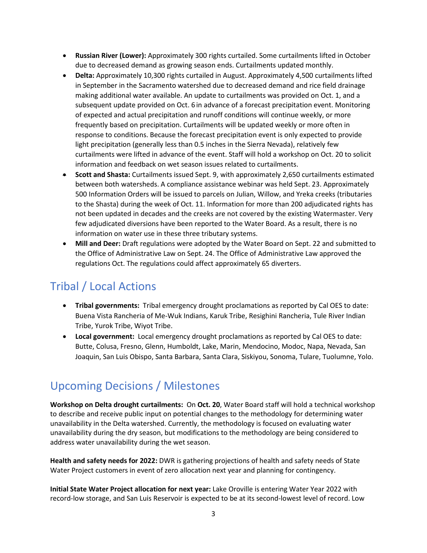- **Russian River (Lower):** Approximately 300 rights curtailed. Some curtailments lifted in October due to decreased demand as growing season ends. Curtailments updated monthly.
- **Delta:** Approximately 10,300 rights curtailed in August. Approximately 4,500 curtailments lifted in September in the Sacramento watershed due to decreased demand and rice field drainage making additional water available. An update to curtailments was provided on Oct. 1, and a subsequent update provided on Oct. 6 in advance of a forecast precipitation event. Monitoring of expected and actual precipitation and runoff conditions will continue weekly, or more frequently based on precipitation. Curtailments will be updated weekly or more often in response to conditions. Because the forecast precipitation event is only expected to provide light precipitation (generally less than 0.5 inches in the Sierra Nevada), relatively few curtailments were lifted in advance of the event. Staff will hold a workshop on Oct. 20 to solicit information and feedback on wet season issues related to curtailments.
- **Scott and Shasta:** Curtailments issued Sept. 9, with approximately 2,650 curtailments estimated between both watersheds. A compliance assistance webinar was held Sept. 23. Approximately 500 Information Orders will be issued to parcels on Julian, Willow, and Yreka creeks (tributaries to the Shasta) during the week of Oct. 11. Information for more than 200 adjudicated rights has not been updated in decades and the creeks are not covered by the existing Watermaster. Very few adjudicated diversions have been reported to the Water Board. As a result, there is no information on water use in these three tributary systems.
- **Mill and Deer:** Draft regulations were adopted by the Water Board on Sept. 22 and submitted to the Office of Administrative Law on Sept. 24. The Office of Administrative Law approved the regulations Oct. The regulations could affect approximately 65 diverters.

## Tribal / Local Actions

- **Tribal governments:** Tribal emergency drought proclamations as reported by Cal OES to date: Buena Vista Rancheria of Me-Wuk Indians, Karuk Tribe, Resighini Rancheria, Tule River Indian Tribe, Yurok Tribe, Wiyot Tribe.
- **Local government:** Local emergency drought proclamations as reported by Cal OES to date: Butte, Colusa, Fresno, Glenn, Humboldt, Lake, Marin, Mendocino, Modoc, Napa, Nevada, San Joaquin, San Luis Obispo, Santa Barbara, Santa Clara, Siskiyou, Sonoma, Tulare, Tuolumne, Yolo.

## Upcoming Decisions / Milestones

**Workshop on Delta drought curtailments:** On **Oct. 20**, Water Board staff will hold a technical workshop to describe and receive public input on potential changes to the methodology for determining water unavailability in the Delta watershed. Currently, the methodology is focused on evaluating water unavailability during the dry season, but modifications to the methodology are being considered to address water unavailability during the wet season.

**Health and safety needs for 2022:** DWR is gathering projections of health and safety needs of State Water Project customers in event of zero allocation next year and planning for contingency.

**Initial State Water Project allocation for next year:** Lake Oroville is entering Water Year 2022 with record-low storage, and San Luis Reservoir is expected to be at its second-lowest level of record. Low